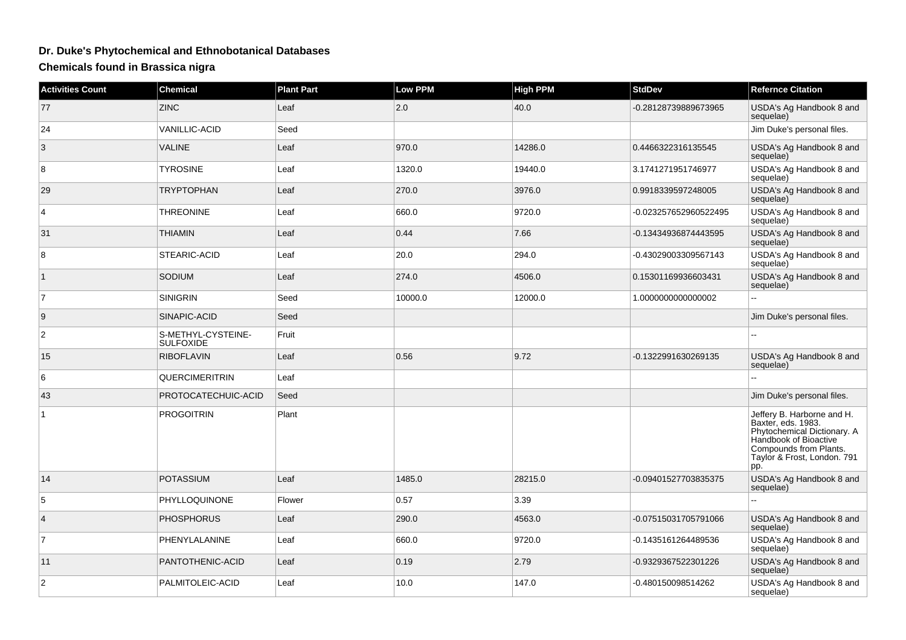## **Dr. Duke's Phytochemical and Ethnobotanical Databases**

**Chemicals found in Brassica nigra**

| <b>Activities Count</b> | <b>Chemical</b>                        | <b>Plant Part</b> | Low PPM | <b>High PPM</b> | <b>StdDev</b>         | <b>Refernce Citation</b>                                                                                                                                                 |
|-------------------------|----------------------------------------|-------------------|---------|-----------------|-----------------------|--------------------------------------------------------------------------------------------------------------------------------------------------------------------------|
| 77                      | <b>ZINC</b>                            | Leaf              | 2.0     | 40.0            | -0.28128739889673965  | USDA's Ag Handbook 8 and<br>sequelae)                                                                                                                                    |
| 24                      | <b>VANILLIC-ACID</b>                   | Seed              |         |                 |                       | Jim Duke's personal files.                                                                                                                                               |
| 3                       | <b>VALINE</b>                          | Leaf              | 970.0   | 14286.0         | 0.4466322316135545    | USDA's Ag Handbook 8 and<br>sequelae)                                                                                                                                    |
| 8                       | <b>TYROSINE</b>                        | Leaf              | 1320.0  | 19440.0         | 3.1741271951746977    | USDA's Ag Handbook 8 and<br>sequelae)                                                                                                                                    |
| 29                      | <b>TRYPTOPHAN</b>                      | Leaf              | 270.0   | 3976.0          | 0.9918339597248005    | USDA's Ag Handbook 8 and<br>sequelae)                                                                                                                                    |
| 4                       | <b>THREONINE</b>                       | Leaf              | 660.0   | 9720.0          | -0.023257652960522495 | USDA's Ag Handbook 8 and<br>sequelae)                                                                                                                                    |
| 31                      | <b>THIAMIN</b>                         | Leaf              | 0.44    | 7.66            | -0.13434936874443595  | USDA's Ag Handbook 8 and<br>sequelae)                                                                                                                                    |
| 8                       | STEARIC-ACID                           | Leaf              | 20.0    | 294.0           | -0.43029003309567143  | USDA's Ag Handbook 8 and<br>sequelae)                                                                                                                                    |
| $\vert$ 1               | SODIUM                                 | Leaf              | 274.0   | 4506.0          | 0.15301169936603431   | USDA's Ag Handbook 8 and<br>sequelae)                                                                                                                                    |
| $\overline{7}$          | <b>SINIGRIN</b>                        | Seed              | 10000.0 | 12000.0         | 1.000000000000002     |                                                                                                                                                                          |
| 9                       | SINAPIC-ACID                           | Seed              |         |                 |                       | Jim Duke's personal files.                                                                                                                                               |
| 2                       | S-METHYL-CYSTEINE-<br><b>SULFOXIDE</b> | Fruit             |         |                 |                       |                                                                                                                                                                          |
| 15                      | <b>RIBOFLAVIN</b>                      | Leaf              | 0.56    | 9.72            | -0.1322991630269135   | USDA's Ag Handbook 8 and<br>sequelae)                                                                                                                                    |
| 6                       | QUERCIMERITRIN                         | Leaf              |         |                 |                       |                                                                                                                                                                          |
| 43                      | PROTOCATECHUIC-ACID                    | Seed              |         |                 |                       | Jim Duke's personal files.                                                                                                                                               |
| $\mathbf{1}$            | <b>PROGOITRIN</b>                      | Plant             |         |                 |                       | Jeffery B. Harborne and H.<br>Baxter, eds. 1983.<br>Phytochemical Dictionary. A<br>Handbook of Bioactive<br>Compounds from Plants.<br>Taylor & Frost, London. 791<br>pp. |
| 14                      | <b>POTASSIUM</b>                       | Leaf              | 1485.0  | 28215.0         | -0.09401527703835375  | USDA's Ag Handbook 8 and<br>sequelae)                                                                                                                                    |
| 5                       | PHYLLOQUINONE                          | Flower            | 0.57    | 3.39            |                       |                                                                                                                                                                          |
| 4                       | <b>PHOSPHORUS</b>                      | Leaf              | 290.0   | 4563.0          | -0.07515031705791066  | USDA's Ag Handbook 8 and<br>sequelae)                                                                                                                                    |
| $\overline{7}$          | PHENYLALANINE                          | Leaf              | 660.0   | 9720.0          | -0.1435161264489536   | USDA's Ag Handbook 8 and<br>sequelae)                                                                                                                                    |
| 11                      | PANTOTHENIC-ACID                       | Leaf              | 0.19    | 2.79            | -0.9329367522301226   | USDA's Ag Handbook 8 and<br>sequelae)                                                                                                                                    |
| $\overline{2}$          | PALMITOLEIC-ACID                       | Leaf              | 10.0    | 147.0           | -0.480150098514262    | USDA's Ag Handbook 8 and<br>sequelae)                                                                                                                                    |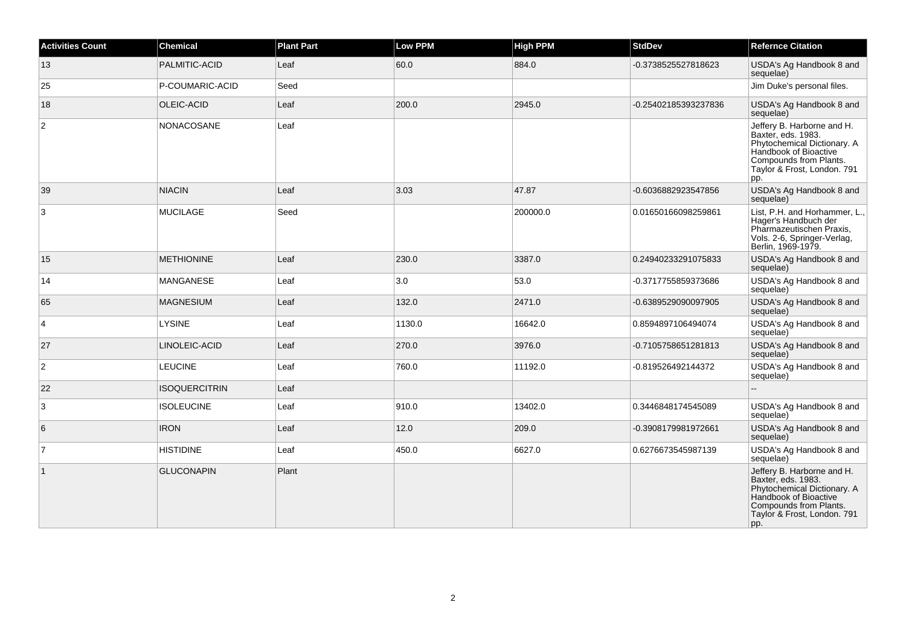| <b>Activities Count</b> | <b>Chemical</b>      | <b>Plant Part</b> | <b>Low PPM</b> | <b>High PPM</b> | <b>StdDev</b>        | <b>Refernce Citation</b>                                                                                                                                                 |
|-------------------------|----------------------|-------------------|----------------|-----------------|----------------------|--------------------------------------------------------------------------------------------------------------------------------------------------------------------------|
| 13                      | PALMITIC-ACID        | Leaf              | 60.0           | 884.0           | -0.3738525527818623  | USDA's Ag Handbook 8 and<br>sequelae)                                                                                                                                    |
| 25                      | P-COUMARIC-ACID      | Seed              |                |                 |                      | Jim Duke's personal files.                                                                                                                                               |
| 18                      | OLEIC-ACID           | Leaf              | 200.0          | 2945.0          | -0.25402185393237836 | USDA's Ag Handbook 8 and<br>sequelae)                                                                                                                                    |
| $\overline{c}$          | NONACOSANE           | Leaf              |                |                 |                      | Jeffery B. Harborne and H.<br>Baxter, eds. 1983.<br>Phytochemical Dictionary. A<br>Handbook of Bioactive<br>Compounds from Plants.<br>Taylor & Frost, London. 791<br>pp. |
| 39                      | <b>NIACIN</b>        | Leaf              | 3.03           | 47.87           | -0.6036882923547856  | USDA's Ag Handbook 8 and<br>sequelae)                                                                                                                                    |
| 3                       | <b>MUCILAGE</b>      | Seed              |                | 200000.0        | 0.01650166098259861  | List, P.H. and Horhammer, L.,<br>Hager's Handbuch der<br>Pharmazeutischen Praxis,<br>Vols. 2-6, Springer-Verlag,<br>Berlin, 1969-1979.                                   |
| 15                      | <b>METHIONINE</b>    | Leaf              | 230.0          | 3387.0          | 0.24940233291075833  | USDA's Ag Handbook 8 and<br>sequelae)                                                                                                                                    |
| 14                      | MANGANESE            | Leaf              | 3.0            | 53.0            | -0.3717755859373686  | USDA's Ag Handbook 8 and<br>sequelae)                                                                                                                                    |
| 65                      | <b>MAGNESIUM</b>     | Leaf              | 132.0          | 2471.0          | -0.6389529090097905  | USDA's Ag Handbook 8 and<br>sequelae)                                                                                                                                    |
| 4                       | <b>LYSINE</b>        | Leaf              | 1130.0         | 16642.0         | 0.8594897106494074   | USDA's Ag Handbook 8 and<br>sequelae)                                                                                                                                    |
| 27                      | LINOLEIC-ACID        | Leaf              | 270.0          | 3976.0          | -0.7105758651281813  | USDA's Ag Handbook 8 and<br>sequelae)                                                                                                                                    |
| $\overline{c}$          | <b>LEUCINE</b>       | Leaf              | 760.0          | 11192.0         | -0.819526492144372   | USDA's Ag Handbook 8 and<br>sequelae)                                                                                                                                    |
| 22                      | <b>ISOQUERCITRIN</b> | Leaf              |                |                 |                      |                                                                                                                                                                          |
| 3                       | <b>ISOLEUCINE</b>    | Leaf              | 910.0          | 13402.0         | 0.3446848174545089   | USDA's Ag Handbook 8 and<br>sequelae)                                                                                                                                    |
| 6                       | <b>IRON</b>          | Leaf              | 12.0           | 209.0           | -0.3908179981972661  | USDA's Ag Handbook 8 and<br>sequelae)                                                                                                                                    |
| $\overline{7}$          | <b>HISTIDINE</b>     | Leaf              | 450.0          | 6627.0          | 0.6276673545987139   | USDA's Ag Handbook 8 and<br>sequelae)                                                                                                                                    |
| $\mathbf{1}$            | <b>GLUCONAPIN</b>    | Plant             |                |                 |                      | Jeffery B. Harborne and H.<br>Baxter, eds. 1983.<br>Phytochemical Dictionary. A<br>Handbook of Bioactive<br>Compounds from Plants.<br>Taylor & Frost, London. 791<br>pp. |